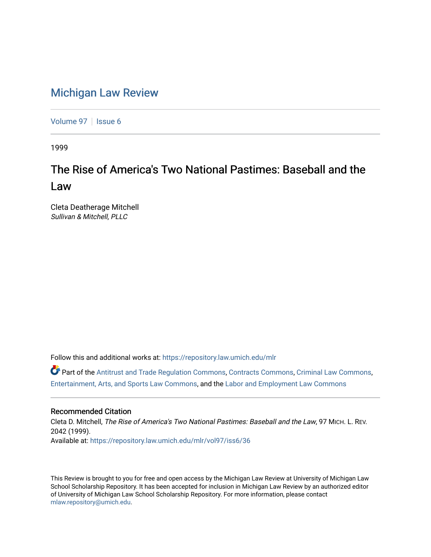# [Michigan Law Review](https://repository.law.umich.edu/mlr)

[Volume 97](https://repository.law.umich.edu/mlr/vol97) | [Issue 6](https://repository.law.umich.edu/mlr/vol97/iss6)

1999

# The Rise of America's Two National Pastimes: Baseball and the Law

Cleta Deatherage Mitchell Sullivan & Mitchell, PLLC

Follow this and additional works at: [https://repository.law.umich.edu/mlr](https://repository.law.umich.edu/mlr?utm_source=repository.law.umich.edu%2Fmlr%2Fvol97%2Fiss6%2F36&utm_medium=PDF&utm_campaign=PDFCoverPages) 

Part of the [Antitrust and Trade Regulation Commons,](http://network.bepress.com/hgg/discipline/911?utm_source=repository.law.umich.edu%2Fmlr%2Fvol97%2Fiss6%2F36&utm_medium=PDF&utm_campaign=PDFCoverPages) [Contracts Commons](http://network.bepress.com/hgg/discipline/591?utm_source=repository.law.umich.edu%2Fmlr%2Fvol97%2Fiss6%2F36&utm_medium=PDF&utm_campaign=PDFCoverPages), [Criminal Law Commons,](http://network.bepress.com/hgg/discipline/912?utm_source=repository.law.umich.edu%2Fmlr%2Fvol97%2Fiss6%2F36&utm_medium=PDF&utm_campaign=PDFCoverPages) [Entertainment, Arts, and Sports Law Commons](http://network.bepress.com/hgg/discipline/893?utm_source=repository.law.umich.edu%2Fmlr%2Fvol97%2Fiss6%2F36&utm_medium=PDF&utm_campaign=PDFCoverPages), and the [Labor and Employment Law Commons](http://network.bepress.com/hgg/discipline/909?utm_source=repository.law.umich.edu%2Fmlr%2Fvol97%2Fiss6%2F36&utm_medium=PDF&utm_campaign=PDFCoverPages)

# Recommended Citation

Cleta D. Mitchell, The Rise of America's Two National Pastimes: Baseball and the Law, 97 MICH. L. REV. 2042 (1999). Available at: [https://repository.law.umich.edu/mlr/vol97/iss6/36](https://repository.law.umich.edu/mlr/vol97/iss6/36?utm_source=repository.law.umich.edu%2Fmlr%2Fvol97%2Fiss6%2F36&utm_medium=PDF&utm_campaign=PDFCoverPages) 

This Review is brought to you for free and open access by the Michigan Law Review at University of Michigan Law School Scholarship Repository. It has been accepted for inclusion in Michigan Law Review by an authorized editor of University of Michigan Law School Scholarship Repository. For more information, please contact [mlaw.repository@umich.edu.](mailto:mlaw.repository@umich.edu)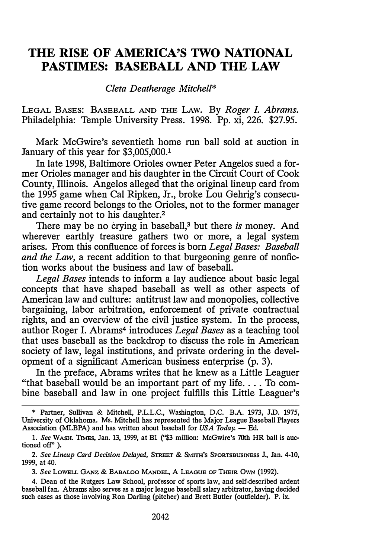# THE RISE OF AMERICA'S TWO NATIONAL PASTIMES: BASEBALL AND THE.LAW

Cleta Deatherage Mitchell\*

LEGAL BASES: BASEBALL AND THE LAW. By Roger I. Abrams. Philadelphia: Temple University Press. 1998. Pp. xi, 226. \$27.95.

Mark McGwire's seventieth home run ball sold at auction in January of this year for \$3,005,000.1

In late 1998, Baltimore Orioles owner Peter Angelos sued a former Orioles manager and his daughter in the Circuit Court of Cook County, Illinois. Angelos alleged that the original lineup card from the 1995 game when Cal Ripken, Jr., broke Lou Gehrig's consecutive game record belongs to the Orioles, not to the former manager and certainly not to his daughter.2

There may be no crying in baseball, $3$  but there is money. And wherever earthly treasure gathers two or more, a legal system arises. From this confluence of forces is born Legal Bases: Baseball and the Law, a recent addition to that burgeoning genre of nonfiction works about the business and law of baseball.

Legal Bases intends to inform a lay audience about basic legal concepts that have shaped baseball as well as other aspects of American law and culture: antitrust law and monopolies, collective bargaining, labor arbitration, enforcement of private contractual rights, and an overview of the civil justice system. In the process, author Roger I. Abrams<sup>4</sup> introduces Legal Bases as a teaching tool that uses baseball as the backdrop to discuss the role in American society of law, legal institutions, and private ordering in the development of a significant American business enterprise (p. 3).

In the preface, Abrams writes that he knew as a Little Leaguer "that baseball would be an important part of my life.... To combine baseball and law in one project fulfills this Little Leaguer's

3. See LoWELL GANZ & BABALOO MANDEL, A LEAGUE OF THEIR OWN (1992).

4. Dean of the Rutgers Law School, professor of sports law, and self-described ardent baseball fan. Abrams also serves as a major league baseball salary arbitrator, having decided such cases as those involving Ron Darling (pitcher) and Brett Butler (outfielder). P. ix.

<sup>\*</sup> Partner, Sullivan & Mitchell, P.L.L.C., Washington, D.C. B.A. 1973, J.D. 1975, University of Oklahoma. Ms. Mitchell has represented the Major League Baseball Players Association (MLBPA) and has written about baseball for  $USA$  Today.  $-$  Ed.

<sup>1.</sup> See WASH. TIMES, Jan. 13, 1999, at Bl ("\$3 million: McGwire's 70th HR ball is auctioned off'' ).

<sup>2.</sup> See Lineup Card Decision Delayed, STREET & SMITH'S SPORTSBUSINESS J., Jan. 4-10, 1999, at 40.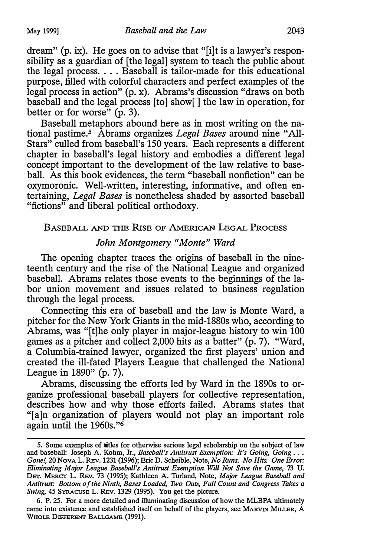dream" (p. ix). He goes on to advise that "[i]t is a lawyer's responsibility as a guardian of [the legal] system to teach the public about the legal process .... Baseball is tailor-made for this educational purpose, filled with colorful characters and perfect examples of the legal process in action" (p. x). Abrams's discussion "draws on both baseball and the legal process [to] show[ ] the law in operation, for better or for worse"  $(p, 3)$ .

Baseball metaphors abound here as in most writing on the national pastime.<sup>5</sup> Abrams organizes Legal Bases around nine "All-Stars" culled from baseball's 150 years. Each represents a different chapter in baseball's legal history and embodies a different legal concept important to the development of the law relative to baseball. As this book evidences, the term "baseball nonfiction" can be oxymoronic. Well-written, interesting, informative, and often entertaining, Legal Bases is nonetheless shaded by assorted baseball "fictions" and liberal political orthodoxy.

## BASEBALL AND THE RISE OF AMERICAN LEGAL PROCESS

#### John Montgomery "Monte" Ward

The opening chapter traces the origins of baseball in the nineteenth century and the rise of the National League and organized baseball. Abrams relates those events to the beginnings of the labor union movement and issues related to business regulation through the legal process.

Connecting this era of baseball and the law is Monte Ward, a pitcher for the New York Giants in the mid-1880s who, according to Abrams, was "[t]he only player in major-league history to win 100 games as a pitcher and collect 2,000 hits as a batter" (p. 7). "Ward, a Columbia-trained lawyer, organized the first players' union and created the ill-fated Players League that challenged the National League in 1890" (p. 7).

Abrams, discussing the efforts led by Ward in the 1890s to organize professional baseball players for collective representation, describes how and why those efforts failed. Abrams states that "[a]n organization of players would not play an important role again until the 1960s."6

<sup>5.</sup> Some examples of titles for otherwise serious legal scholarship on the subject of law and baseball: Joseph A. Kohm, Jr., Baseball's Antitrust Exemption: It's Going, Going ... Gone!, 20 Nova L. REv. 1231 (1996); Eric D. Scheible, Note, No Runs. No Hits. One Error: Eliminating Major League Baseball's Antitrust Exemption Will Not Save the Game, 73 U. DET. MERCY L. REv. 73 (1995); Kathleen A. Turland, Note, Major League Baseball and Antitrust: Bottom of the Ninth, Bases Loaded, Two Outs, Full Count and Congress Takes a Swing, 45 SYRACUSE L. REv. 1329 (1995). You get the picture.

<sup>6.</sup> P. 25. For a more detailed and illuminating discussion of how the MLBPA ultimately came into existence and established itself on behalf of the players, see MARVIN MILLER, A WHOLE DIFFERENT BALLGAME (1991).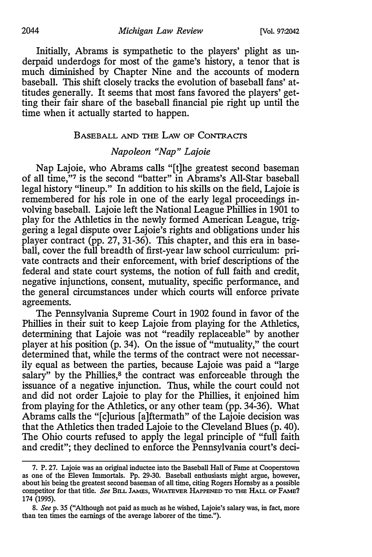Initially, Abrams is sympathetic to the players' plight as underpaid underdogs for most of the game's history, a tenor that is much diminished by Chapter Nine and the accounts of modem baseball. This shift closely tracks the evolution of baseball fans' attitudes generally. It seems that most fans favored the players' getting their fair share of the baseball financial pie right up until the time when it actually started to happen.

#### BASEBALL AND THE LAW OF CONTRACTS

# Napoleon "Nap" Lajoie

Nap Lajoie, who Abrams calls "[t]he greatest second baseman of all time,"7 is the second "batter" in Abrams's All-Star baseball legal history "lineup." In addition to his skills on the field, Lajoie is remembered for his role in one of the early legal proceedings involving baseball. Lajoie left the National League Phillies in 1901 to play for the Athletics in the newly formed American League, triggering a legal dispute over Lajoie's rights and obligations under his player contract (pp. 27, 31-36). This chapter, and this era in baseball, cover the full breadth of first-year law school curriculum: private contracts and their enforcement, with brief descriptions of the federal and state court systems, the notion of full faith and credit, negative injunctions, consent, mutuality, specific performance, and the general circumstances under which courts will enforce private agreements.

The Pennsylvania Supreme Court in 1902 found in favor of the Phillies in their suit to keep Lajoie from playing for the Athletics, determining that Lajoie was not "readily replaceable" by another player at his position (p. 34). On the issue of "mutuality," the court determined that, while the terms of the contract were not necessarily equal as between the parties, because Lajoie was paid a "large salary" by the Phillies,<sup>8</sup> the contract was enforceable through the issuance of a negative injunction. Thus, while the court could not and did not order Lajoie to play for the Phillies, it enjoined him from playing for the Athletics, or any other team (pp. 34-36). What Abrams calls the "[c]urious [a]ftermath" of the Lajoie decision was that the Athletics then traded Lajoie to the Cleveland Blues (p. 40). The Ohio courts refused to apply the legal principle of "full faith and credit"; they declined to enforce the Pennsylvania court's deci-

<sup>7.</sup> P. 27. Lajoie was an original inductee into the Baseball Hall of Fame at Cooperstown as one of the Eleven Immortals. Pp. 29-30. Baseball enthusiasts might argue, however, about his being the greatest second baseman of all time, citing Rogers Hornsby as a possible competitor for that title. See BILL JAMES, WHATEVER HAPPENED TO THE HALL OF FAME? 174 (1995).

<sup>8.</sup> Seep. 35 ("Although not paid as much as he wished, Lajoie's salary was, in fact, more than ten times the earnings of the average laborer of the time.").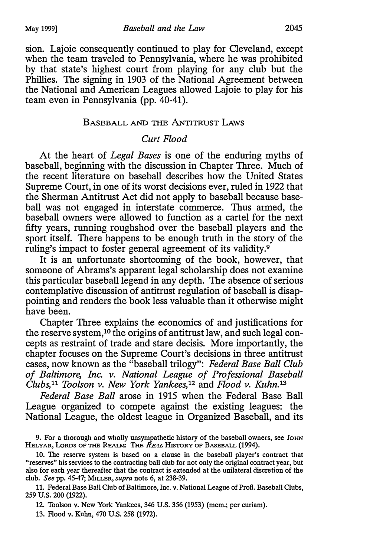sion. Lajoie consequently continued to play for Cleveland, except when the team traveled to Pennsylvania, where he was prohibited by that state's highest court from playing for any club but the Phillies. The signing in 1903 of the National Agreement between the National and American Leagues allowed Lajoie to play for his team even in Pennsylvania (pp. 40-41).

#### BASEBALL AND THE ANTITRUST LAWS

#### Curt Flood

At the heart of *Legal Bases* is one of the enduring myths of baseball, beginning with the discussion in Chapter Three. Much of the recent literature on baseball describes how the United States Supreme Court, in one of its worst decisions ever, ruled in 1922 that the Sherman Antitrust Act did not apply to baseball because baseball was not engaged in interstate commerce. Thus armed, the baseball owners were allowed to function as a cartel for the next fifty years, running roughshod over the baseball players and the sport itself. There happens to be enough truth in the story of the ruling's impact to foster general agreement of its validity.<sup>9</sup>

It is an unfortunate shortcoming of the book, however, that someone of Abrams's apparent legal scholarship does not examine this particular baseball legend in any depth. The absence of serious contemplative discussion of antitrust regulation of baseball is disappointing and renders the book less valuable than it otherwise might have been.

Chapter Three explains the economics of and justifications for the reserve system,10 the origins of antitrust law, and such legal concepts as restraint of trade and stare decisis. More importantly, the chapter focuses on the Supreme Court's decisions in three antitrust cases, now known as the "baseball trilogy": Federal Base Ball Club of Baltimore, Inc. v. National League of Professional Baseball Clubs,<sup>11</sup> Toolson v. New York Yankees,<sup>12</sup> and Flood v. Kuhn.<sup>13</sup>

Federal Base Ball arose in 1915 when the Federal Base Ball League organized to compete against the existing leagues: the National League, the oldest league in Organized Baseball, and its

<sup>9.</sup> For a thorough and wholly unsympathetic history of the baseball owners, see JoHN HELYAR, LORDS OF THE REALM: THE REAL HISTORY OF BASEBALL (1994).

<sup>10.</sup> The reserve system is based on a clause in the baseball player's contract that "reserves" his services to the contracting ball club for not only the original contract year, but also for each year thereafter that the contract is extended at the unilateral discretion of the club. See pp. 45-47; MILLER, supra note 6, at 238-39.

<sup>11.</sup> Federal Base Ball Club of Baltimore, Inc. v. National League of Profi. Baseball Clubs, 259 U.S. 200 (1922).

<sup>12.</sup> Toolson v. New York Yankees, 346 U.S. 356 (1953) (mem.; per curiam).

<sup>13.</sup> Flood v. Kuhn, 470 U.S. 258 (1972).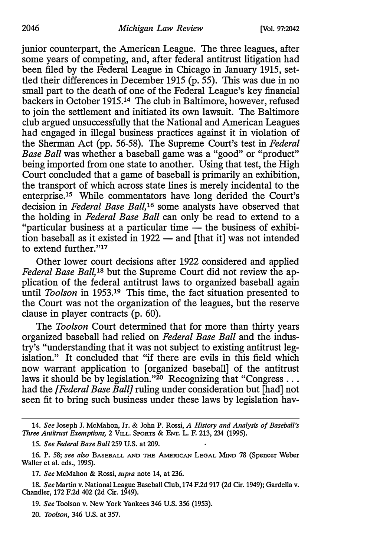junior counterpart, the American League. The three leagues, after some years of competing, and, after federal antitrust litigation had been filed by the Federal League in Chicago in January 1915, settled their differences in December 1915 (p. 55). This was due in no small part to the death of one of the Federal League's key financial backers in October 1915.14 The club in Baltimore, however, refused to join the settlement and initiated its own lawsuit. The Baltimore club argued unsuccessfully that the National and American Leagues had engaged in illegal business practices against it in violation of the Sherman Act (pp. 56-58). The Supreme Court's test in Federal Base Ball was whether a baseball game was a "good" or "product" being imported from one state to another. Using that test, the High Court concluded that a game of baseball is primarily an exhibition, the transport of which across state lines is merely incidental to the enterprise.15 While commentators have long derided the Court's decision in Federal Base Ball,<sup>16</sup> some analysts have observed that the holding in Federal Base Ball can only be read to extend to a "particular business at a particular time  $-$  the business of exhibition baseball as it existed in  $1922$  - and [that it] was not intended to extend further."17

Other lower court decisions after 1922 considered and applied Federal Base Ball,<sup>18</sup> but the Supreme Court did not review the application of the federal antitrust laws to organized baseball again until Toolson in 1953.<sup>19</sup> This time, the fact situation presented to the Court was not the organization of the leagues, but the reserve clause in player contracts (p. 60).

The Toolson Court determined that for more than thirty years organized baseball had relied on Federal Base Ball and the industry's "understanding that it was not subject to existing antitrust legislation." It concluded that "if there are evils in this field which now warrant application to [organized baseball] of the antitrust laws it should be by legislation."<sup>20</sup> Recognizing that "Congress ... had the *[Federal Base Ball]* ruling under consideration but [had] not seen fit to bring such business under these laws by legislation hav-

<sup>14.</sup> See Joseph J. McMahon, Jr. & John P. Rossi, A History and Analysis of Baseball's Three Antitrust Exemptions, 2 VILL SPORTS & ENT. L. F. 213, 234 (1995).

<sup>15.</sup> See Federal Base Ball 259 U.S. at 209.

<sup>16.</sup> P. 58; see also BASEBALL AND THE AMERICAN LEGAL MIND 78 (Spencer Weber Waller et al. eds., 1995).

<sup>17.</sup> See McMahon & Rossi, supra note 14, at 236.

<sup>18.</sup> See Martin v. National League Baseball Club, 174 F.2d 917 (2d Cir. 1949); Gardella v. Chandler, 172 F.2d 402 (2d Cir. 1949).

<sup>19.</sup> See Toolson v. New York Yankees 346 U.S. 356 (1953).

<sup>20.</sup> Toolson, 346 U.S. at 357.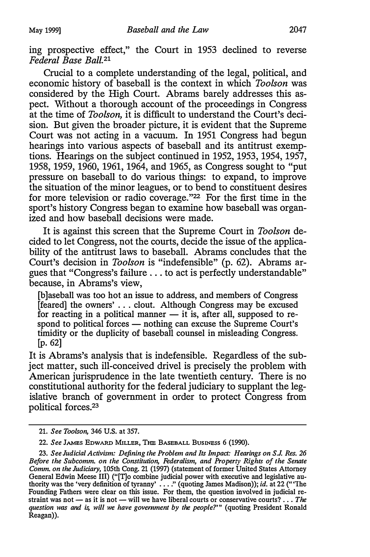ing prospective effect," the Court in 1953 declined to reverse Federal Base Ball.<sup>21</sup>

Crucial to a complete understanding of the legal, political, and economic history of baseball is the context in which Toolson was considered by the High Court. Abrams barely addresses this aspect. Without a thorough account of the proceedings in Congress at the time of Toolson, it is difficult to understand the Court's decision. But given the broader picture, it is evident that the Supreme Court was not acting in a vacuum. In 1951 Congress had begun hearings into various aspects of baseball and its antitrust exemptions. Hearings on the subject continued in 1952, 1953, 1954, 1957, 1958, 1959, 1960, 1961, 1964, and 1965, as Congress sought to "put pressure on baseball to do various things: to expand, to improve the situation of the minor leagues, or to bend to constituent desires for more television or radio coverage."<sup>22</sup> For the first time in the sport's history Congress began to examine how baseball was organized and how baseball decisions were made.

It is against this screen that the Supreme Court in Toolson decided to let Congress, not the courts, decide the issue of the applicability of the antitrust laws to baseball. Abrams concludes that the Court's decision in Toolson is "indefensible" (p. 62). Abrams argues that "Congress's failure ... to act is perfectly understandable" because, in Abrams's view,

[b]aseball was too hot an issue to address, and members of Congress [feared] the owners' ... clout. Although Congress may be excused for reacting in a political manner  $-$  it is, after all, supposed to respond to political forces — nothing can excuse the Supreme Court's timidity or the duplicity of baseball counsel in misleading Congress. [p. 62]

It is Abrams's analysis that is indefensible. Regardless of the subject matter, such ill-conceived drivel is precisely the problem with American jurisprudence in the late twentieth century. There is no constitutional authority for the federal judiciary to supplant the legislative branch of government in order to protect Congress from political forces.23

<sup>21.</sup> See Toolson, 346 U.S. at 357.

<sup>22.</sup> See JAMES EDWARD MILLER, THE BASEBALL BusINESs 6 (1990).

<sup>23.</sup> See Judicial Activism: Defining the Problem and Its Impact: Hearings on S.J. Res. 26 Before the Subcomm. on the Constitution, Federalism, and Property Rights of the Senate Comm. on the Judiciary, 105th Cong. 21 (1997) (statement of former United States Attorney General Edwin Meese III) ("[T]o combine judicial power with executive and legislative authority was the 'very definition of tyranny' .... "(quoting James Madison)); id. at 22 ("'The Founding Fathers were clear on this issue. For them, the question involved in judicial restraint was not  $-$  as it is not  $-$  will we have liberal courts or conservative courts? ... The question was and is, will we have government by the people?"" (quoting President Ronald Reagan)).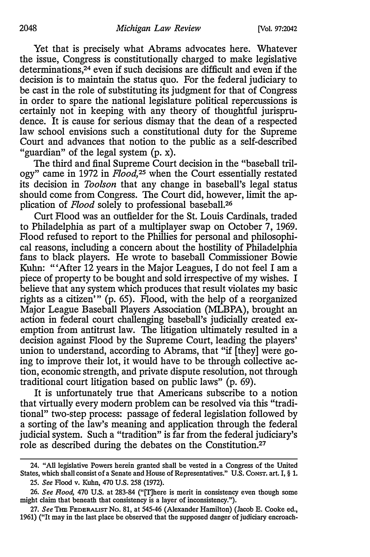Yet that is precisely what Abrams advocates here. Whatever the issue, Congress is constitutionally charged to make legislative determinations,<sup>24</sup> even if such decisions are difficult and even if the decision is to maintain the status quo. For the federal judiciary to be cast in the role of substituting its judgment for that of Congress in order to spare the national legislature political repercussions is certainly not in keeping with any theory of thoughtful jurisprudence. It is cause for serious dismay that the dean of a respected law school envisions such a constitutional duty for the Supreme Court and advances that notion to the public as a self-described "guardian" of the legal system (p. x).

The third and final Supreme Court decision in the "baseball trilogy" came in 1972 in  $Flood$ ,<sup>25</sup> when the Court essentially restated its decision in Toolson that any change in baseball's legal status should come from Congress. The Court did, however, limit the application of Flood solely to professional baseball.<sup>26</sup>

Curt Flood was an outfielder for the St. Louis Cardinals, traded to Philadelphia as part of a multiplayer swap on October 7, 1969. Flood refused to report to the Phillies for personal and philosophical reasons, including a concern about the hostility of Philadelphia fans to black players. He wrote to baseball Commissioner Bowie Kuhn: "'After 12 years in the Major Leagues, I do not feel I am a piece of property to be bought and sold irrespective of my wishes. I believe that any system which produces that result violates my basic rights as a citizen'" (p. 65). Flood, with the help of a reorganized Major League Baseball Players Association (MLBPA), brought an action in federal court challenging baseball's judicially created exemption from antitrust law. The litigation ultimately resulted in a decision against Flood by the Supreme Court, leading the players' union to understand, according to Abrams, that "if [they] were going to improve their lot, it would have to be through collective action, economic strength, and private dispute resolution, not through traditional court litigation based on public laws" (p. 69).

It is unfortunately true that Americans subscribe to a notion that virtually every modem problem can be resolved via this "traditional" two-step process: passage of federal legislation followed by a sorting of the law's meaning and application through the federal judicial system. Such a "tradition" is far from the federal judiciary's role as described during the debates on the Constitution.27

<sup>24.</sup> "All legislative Powers herein granted shall be vested in a Congress of the United States, which shall consist of a Senate and House of Representatives." U.S. Consr. art. I, § 1. 25. See Flood v. Kuhn, 470 U.S. 258 (1972).

<sup>26.</sup> See Flood, 470 U.S. at 283-84 ("[T]here is merit in consistency even though some might claim that beneath that consistency is a layer of inconsistency. ").

<sup>27.</sup> See THE FEDERALIST NO. 81, at 545-46 (Alexander Hamilton) (Jacob E. Cooke ed., 1961) ("It may in the last place be observed that the supposed danger of judiciary encroach-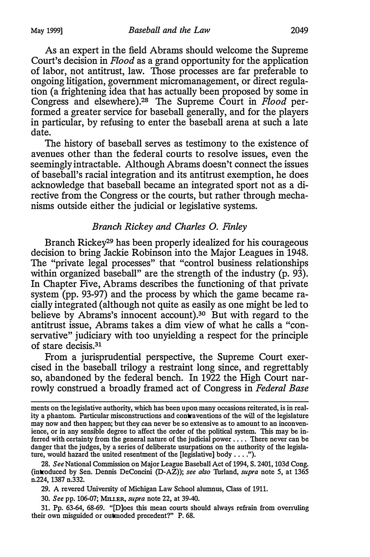As an expert in the field Abrams should welcome the Supreme Court's decision in Flood as a grand opportunity for the application of labor, not antitrust, law. Those processes are far preferable to ongoing litigation, government micromanagement, or direct regulation (a frightening idea that has actually been proposed by some in Congress and elsewhere).<sup>28</sup> The Supreme Court in Flood performed a greater service for baseball generally, and for the players in particular, by refusing to enter the baseball arena at such a late date.

The history of baseball serves as testimony to the existence of avenues other than the federal courts to resolve issues, even the seemingly intractable. Although Abrams doesn't connect the issues of baseball's racial integration and its antitrust exemption, he does acknowledge that baseball became an integrated sport not as a directive from the Congress or the courts, but rather through mechanisms outside either the judicial or legislative systems.

#### Branch Rickey and Charles 0. Finley

Branch Rickey<sup>29</sup> has been properly idealized for his courageous decision to bring Jackie Robinson into the Major Leagues in 1948. The "private legal processes" that "control business relationships within organized baseball" are the strength of the industry (p. 93). In Chapter Five, Abrams describes the functioning of that private system (pp. 93-97) and the process by which the game became racially integrated (although not quite as easily as one might be led to believe by Abrams's innocent account).<sup>30</sup> But with regard to the antitrust issue, Abrams takes a dim view of what he calls a "conservative" judiciary with too unyielding a respect for the principle of stare decisis. 31

From a jurisprudential perspective, the Supreme Court exercised in the baseball trilogy a restraint long since, and regrettably so, abandoned by the federal bench. In 1922 the High Court narrowly construed a broadly framed act of Congress in Federal Base

28. See National Commission on Major League Baseball Act of 1994, S. 2401, 103d Cong. (introduced by Sen. Dennis DeConcini (D-AZ)); see also Turland, supra note 5, at 1365 n.224, 1387 n.332.

29. A revered University of Michigan Law School alumnus, Class of 1911.

30. See pp. 106-07; MILLER, supra note 22, at 39-40.

31. Pp. 63-64, 68-69. "[D]oes this mean courts should always refrain from overruling their own misguided or outmoded precedent?" P. 68.

ments on the legislative authority, which has been upon many occasions reiterated, is in reality a phantom. Particular misconstructions and contraventions of the will of the legislature may now and then happen; but they can never be so extensive as to amount to an inconvenience, or in any sensible degree to affect the order of the political system. This may be inferred with certainty from the general nature of the judicial power . . . . There never can be danger that the judges, by a series of deliberate usurpations on the authority of the legislature, would hazard the united resentment of the [legislative] body .... ").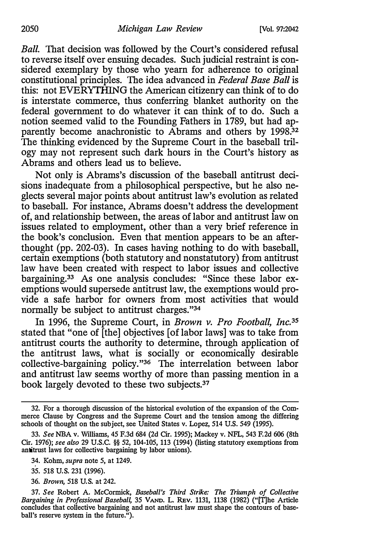Ball. That decision was followed by the Court's considered refusal to reverse itself over ensuing decades. Such judicial restraint is considered exemplary by those who yearn for adherence to original constitutional principles. The idea advanced in Federal Base Ball is this: not EVERYTHING the American citizenry can think of to do is interstate commerce, thus conferring blanket authority on the federal government to do whatever it can think of to do. Such a notion seemed valid to the Founding Fathers in 1789, but had apparently become anachronistic to Abrams and others by 1998.<sup>32</sup> The thinking evidenced by the Supreme Court in the baseball trilogy may not represent such dark hours in the Court's history as Abrams and others lead us to believe.

Not only is Abrams's discussion of the baseball antitrust decisions inadequate from a philosophical perspective, but he also neglects several major points about antitrust law's evolution as related to baseball. For instance, Abrams doesn't address the development of, and relationship between, the areas of labor and antitrust law on issues related to employment, other than a very brief reference in the book's conclusion. Even that mention appears to be an afterthought (pp. 202-03). In cases having nothing to do with baseball, certain exemptions (both statutory and nonstatutory) from antitrust law have been created with respect to labor issues and collective bargaining.33 As one analysis concludes: "Since these labor exemptions would supersede antitrust law, the exemptions would provide a safe harbor for owners from most activities that would normally be subject to antitrust charges."34

In 1996, the Supreme Court, in Brown v. Pro Football, Inc.<sup>35</sup> stated that "one of [the] objectives [of labor laws] was to take from antitrust courts the authority to determine, through application of the antitrust laws, what is socially or economically desirable collective-bargaining policy."36 The interrelation between labor and antitrust law seems worthy of more than passing mention in a book largely devoted to these two subjects.37

- 35. 518 U.S. 231 {1996).
- 36. Brown, 518 U.S. at 242.

<sup>32.</sup> For a thorough discussion of the historical evolution of the expansion of the Commerce Clause by Congress and the Supreme Court and the tension among the differing schools of thought on the subject, see United States v. Lopez, 514 U.S. 549 (1995).

<sup>33.</sup> See NBA v. Williams, 45 F.3d 684 {2d Cir. 1995); Mackey v. NFL, 543 F.2d 606 (8th Cir. 1976); see also 29 U.S.C. §§ 52, 104-105, 113 {1994) {listing statutory exemptions from antitrust laws for collective bargaining by labor unions).

<sup>34.</sup> Kohm, supra note 5, at 1249.

<sup>37.</sup> See Robert A. McCormick, Baseball's Third Strike: The Triumph of Collective Bargaining in Professional Baseball, 35 VAND. L. REV. 1131, 1138 (1982) ("[T]he Article concludes that collective bargaining and not antitrust law must shape the contours of baseball's reserve system in the future.").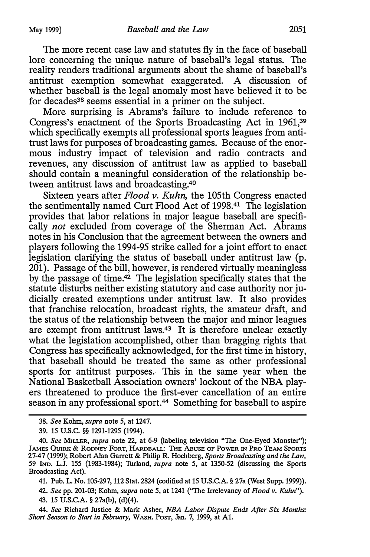The more recent case law and statutes fly in the face of baseball lore concerning the unique nature of baseball's legal status. The reality renders traditional arguments about the shame of baseball's antitrust exemption somewhat exaggerated. A discussion of whether baseball is the legal anomaly most have believed it to be for decades<sup>38</sup> seems essential in a primer on the subject.

More surprising is Abrams's failure to include reference to Congress's enactment of the Sports Broadcasting Act in 1961,39 which specifically exempts all professional sports leagues from antitrust laws for purposes of broadcasting games. Because of the enormous industry impact of television and radio contracts and revenues, any discussion of antitrust law as applied to baseball should contain a meaningful consideration of the relationship between antitrust laws and broadcasting.40

Sixteen years after Flood v. Kuhn, the 105th Congress enacted the sentimentally named Curt Flood Act of 1998.41 The legislation provides that labor relations in major league baseball are specifically *not* excluded from coverage of the Sherman Act. Abrams notes in his Conclusion that the agreement between the owners and players following the 1994-95 strike called for a joint effort to enact legislation clarifying the status of baseball under antitrust law (p. 201). Passage of the bill, however, is rendered virtually meaningless by the passage of time.42 The legislation specifically states that the statute disturbs neither existing statutory and case authority nor judicially created exemptions under antitrust law. It also provides that franchise relocation, broadcast rights, the amateur draft, and the status of the relationship between the major and minor leagues are exempt from antitrust laws.43 It is therefore unclear exactly what the legislation accomplished, other than bragging rights that Congress has specifically acknowledged, for the first time in history, that baseball should be treated the same as other professional sports for antitrust purposes. This in the same year when the National Basketball Association owners' lockout of the NBA players threatened to produce the first-ever cancellation of an entire season in any professional sport.<sup>44</sup> Something for baseball to aspire

<sup>38.</sup> See Kohm, supra note 5, at 1247.

<sup>39. 15</sup> u.s.c. §§ 1291-1295 (1994).

<sup>40.</sup> See MILLER, supra note 22, at 6-9 (labeling television " The One-Eyed Monster"); JAMES QUIRK & RODNEY FORT, HARDBALL: THE ABUSE OF POWER IN PRO TEAM SPORTS 27-47 (1999); Robert Alan Garrett & Philip R. Hochberg, Sports Broadcasting and the Law, 59 IND. L.J. 155 (1983-1984); Turland, supra note 5, at 1350-52 (discussing the Sports Broadcasting Act).

<sup>41.</sup> Pub. L. No. 105-297, 112 Stat. 2824 (codified at 15 U.S.C.A. § 27a (West Supp. 1999)). 42. See pp. 201-03; Kohm, supra note 5, at 1241 ("The Irrelevancy of Flood v. Kuhn").

<sup>43. 15</sup> U.S.C.A. § 27a(b), (d)(4).

<sup>44.</sup> See Richard Justice & Mark Asher, NBA Labor Dispute Ends After Six Months: Short Season to Start in February, WASH. Post, Jan. 7, 1999, at A1.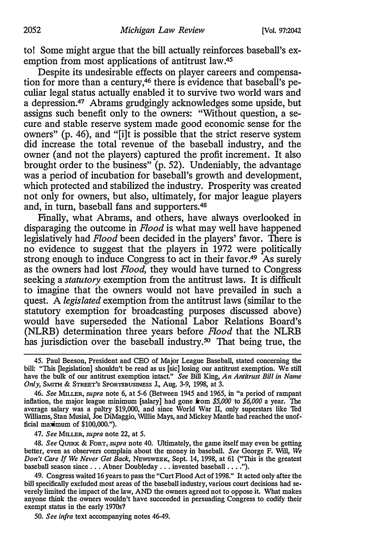to! Some might argue that the bill actually reinforces baseball's exemption from most applications of antitrust law.45

Despite its undesirable effects on player careers and compensation for more than a century,46 there is evidence that baseball's peculiar legal status actually enabled it to survive two world wars and a depression.47 Abrams grudgingly acknowledges some upside, but assigns such benefit only to the owners: "Without question, a secure and stable reserve system made good economic sense for the owners" (p. 46), and "[i]t is possible that the strict reserve system did increase the total revenue of the baseball industry, and the owner (and not the players) captured the profit increment. It also brought order to the business" (p. 52). Undeniably, the advantage was a period of incubation for baseball's growth and development, which protected and stabilized the industry. Prosperity was created not only for owners, but also, ultimately, for major league players and, in tum, baseball fans and supporters.48

Finally, what Abrams, and others, have always overlooked in disparaging the outcome in Flood is what may well have happened legislatively had Flood been decided in the players' favor. There is no evidence to suggest that the players in 1972 were politically strong enough to induce Congress to act in their favor.<sup>49</sup> As surely as the owners had lost Flood, they would have turned to Congress seeking a *statutory* exemption from the antitrust laws. It is difficult to imagine that the owners would not have prevailed in such a quest. A legislated exemption from the antitrust laws (similar to the statutory exemption for broadcasting purposes discussed above) would have superseded the National Labor Relations Board's (NLRB) determination three years before Flood that the NLRB has jurisdiction over the baseball industry.<sup>50</sup> That being true, the

45. Paul Beeson, President and CEO of Major League Baseball, stated concerning the bill: " This [legislation] shouldn't be read as us [sic] losing our antitrust exemption. We still have the bulk of our antitrust exemption intact." See Bill King, An Antitrust Bill in Name Only, SMITH & STREET's SPORTSBUSINESS J., Aug. 3-9, 1998, at 3.

46. See MILLER, supra note 6, at 5-6 (Between 1945 and 1965, in "a period of rampant inflation, the major league minimum [salary] had gone from  $$5,000$  to  $$6,000$  a year. The average salary was a paltry \$19,000, and since World War II, only superstars like Ted Williams, Stan Musial, Joe DiMaggio, Willie Mays, and Mickey Mantle had reached the unofficial maximum of \$100,000.").

47. See MILLER, supra note 22, at 5.

48. See QUIRK & FORT, supra note 40. Ultimately, the game itself may even be getting better, even as observers complain about the money in baseball. See George F. Will, We Don't Care If We Never Get Back, NEWSWEEK, Sept. 14, 1998, at 61 ("This is the greatest baseball season since . . . Abner Doubleday . . . invented baseball . . . . ").

49. Congress waited 16 years to pass the "Curt Flood Act of 1998." It acted only after the bill specifically excluded most areas of the baseball industry, various court decisions had severely limited the impact of the law, AND the owners agreed not to oppose it. What makes anyone think the owners wouldn't have succeeded in persuading Congress to codify their exempt status in the early 1970s?

50. See infra text accompanying notes 46-49.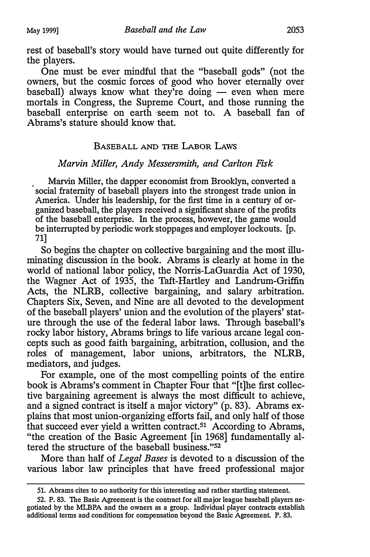rest of baseball's story would have turned out quite differently for the players.

One must be ever mindful that the "baseball gods" (not the owners, but the cosmic forces of good who hover eternally over baseball) always know what they're doing  $-$  even when mere mortals in Congress, the Supreme Court, and those running the baseball enterprise on earth seem not to. A baseball fan of Abrams's stature should know that.

# BASEBALL AND THE LABOR LAWS

## Marvin Miller, Andy Messersmith, and Carlton Fisk

Marvin Miller, the dapper economist from Brooklyn, converted a social fraternity of baseball players into the strongest trade union in America. Under his leadership, for the first time in a century of organized baseball, the players received a significant share of the profits of the baseball enterprise. In the process, however, the game would be interrupted by periodic work stoppages and employer lockouts. [p. 71]

So begins the chapter on collective bargaining and the most illuminating discussion in the book. Abrams is clearly at home in the world of national labor policy, the Norris-LaGuardia Act of 1930, the Wagner Act of 1935, the Taft-Hartley and Landrum-Griffin Acts, the NLRB, collective bargaining, and salary arbitration. Chapters Six, Seven, and Nine are all devoted to the development of the baseball players' union and the evolution of the players' stature through the use of the federal labor laws. Through baseball's rocky labor history, Abrams brings to life various arcane legal concepts such as good faith bargaining, arbitration, collusion, and the roles of management, labor unions, arbitrators, the NLRB, mediators, and judges.

For example, one of the most compelling points of the entire book is Abrams's comment in Chapter Four that "[t]he first collective bargaining agreement is always the most difficult to achieve, and a signed contract is itself a major victory" (p. 83). Abrams explains that most union-organizing efforts fail, and only half of those that succeed ever yield a written contract.51 According to Abrams, "the creation of the Basic Agreement [in 1968] fundamentally altered the structure of the baseball business."<sup>52</sup>

More than half of Legal Bases is devoted to a discussion of the various labor law principles that have freed professional major

<sup>51.</sup> Abrams cites to no authority for this interesting and rather startling statement.

<sup>52.</sup> P. 83. The Basic Agreement is the contract for all major league baseball players negotiated by the MLBPA and the owners as a group. Individual player contracts establish additional terms and conditions for compensation beyond the Basic Agreement. P. 83.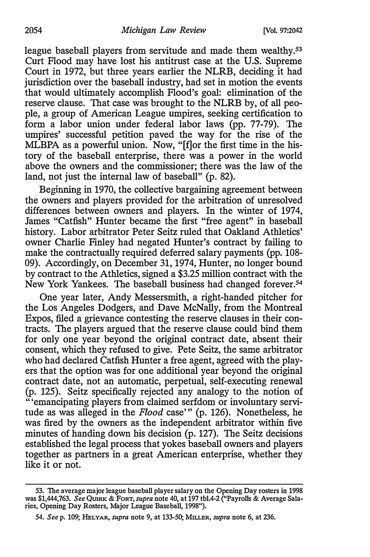league baseball players from servitude and made them wealthy.<sup>53</sup> Curt Flood may have lost his antitrust case at the U.S. Supreme Court in 1972, but three years earlier the NLRB, deciding it had jurisdiction over the baseball industry, had set in motion the events that would ultimately accomplish Flood's goal: elimination of the reserve clause. That case was brought to the NLRB by, of all people, a group of American League umpires, seeking certification to form a labor union under federal labor laws (pp. 77-79). The umpires' successful petition paved the way for the rise of the MLBPA as a powerful union. Now, "[f]or the first time in the history of the baseball enterprise, there was a power in the world above the owners and the commissioner; there was the law of the land, not just the internal law of baseball" (p. 82).

Beginning in 1970, the collective bargaining agreement between the owners and players provided for the arbitration of unresolved differences between owners and players. In the winter of 1974, James "Catfish" Hunter became the first "free agent" in baseball history. Labor arbitrator Peter Seitz ruled that Oakland Athletics' owner Charlie Finley had negated Hunter's contract by failing to make the contractually required deferred salary payments (pp. 108- 09). Accordingly, on December 31, 1974, Hunter, no longer bound by contract to the Athletics, signed a \$3.25 million contract with the New York Yankees. The baseball business had changed forever.54

One year later, Andy Messersmith, a right-handed pitcher for the Los Angeles Dodgers, and Dave McNally, from the Montreal Expos, filed a grievance contesting the reserve clauses in their contracts. The players argued that the reserve clause could bind them for only one year beyond the original contract date, absent their consent, which they refused to give. Pete Seitz, the same arbitrator who had declared Catfish Hunter a free agent, agreed with the players that the option was for one additional year beyond the original contract date, not an automatic, perpetual, self-executing renewal (p. 125). Seitz specifically rejected any analogy to the notion of "'emancipating players from claimed serfdom or involuntary servitude as was alleged in the Flood case'" (p. 126). Nonetheless, he was fired by the owners as the independent arbitrator within five minutes of handing down his decision (p. 127). The Seitz decisions established the legal process that yokes baseball owners and players together as partners in a great American enterprise, whether they like it or not.

<sup>53.</sup> The average major league baseball player salary on the Opening Day rosters in 1998 was \$1,444,763. See QUIRK & FORT, supra note 40, at 197 tbl.4-2 ("Payrolls & Average Salaries, Opening Day Rosters, Major League Baseball, 1998").

<sup>54.</sup> See p. 109; HELYAR, supra note 9, at 133-50; MILLER, supra note 6, at 236.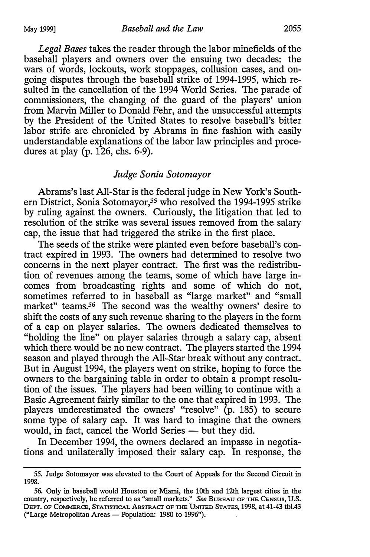Legal Bases takes the reader through the labor minefields of the baseball players and owners over the ensuing two decades: the wars of words, lockouts, work stoppages, collusion cases, and ongoing disputes through the baseball strike of 1994-1995, which resulted in the cancellation of the 1994 World Series. The parade of commissioners, the changing of the guard of the players' union from Marvin Miller to Donald Fehr, and the unsuccessful attempts by the President of the United States to resolve baseball's bitter labor strife are chronicled by Abrams in fine fashion with easily understandable explanations of the labor law principles and procedures at play (p.  $126$ , chs. 6-9).

#### Judge Sonia Sotomayor

Abrams's last All-Star is the federal judge in New York's Southern District, Sonia Sotomayor,<sup>55</sup> who resolved the 1994-1995 strike by ruling against the owners. Curiously, the litigation that led to resolution of the strike was several issues removed from the salary cap, the issue that had triggered the strike in the first place.

The seeds of the strike were planted even before baseball's contract expired in 1993. The owners had determined to resolve two concerns in the next player contract. The first was the redistribution of revenues among the teams, some of which have large incomes from broadcasting rights and some of which do not, sometimes referred to in baseball as "large market" and "small market" teams.<sup>56</sup> The second was the wealthy owners' desire to shift the costs of any such revenue sharing to the players in the form of a cap on player salaries. The owners dedicated themselves to "holding the line" on player salaries through a salary cap, absent which there would be no new contract. The players started the 1994 season and played through the All-Star break without any contract. But in August 1994, the players went on strike, hoping to force the owners to the bargaining table in order to obtain a prompt resolution of the issues. The players had been willing to continue with a Basic Agreement fairly similar to the one that expired in 1993. The players underestimated the owners' "resolve" (p. 185) to secure some type of salary cap. It was hard to imagine that the owners would, in fact, cancel the World Series - but they did.

In December 1994, the owners declared an impasse in negotiations and unilaterally imposed their salary cap. In response, the

<sup>55.</sup> Judge Sotomayor was elevated to the Court of Appeals for the Second Circuit in 1998.

<sup>56.</sup> Only in baseball would Houston or Miami, the 10th and 12th largest cities in the country, respectively, be referred to as "small markets." See BUREAU OF THE CENSUS, U.S. DEPT. OF COMMERCE, STATISTICAL ABSTRACT OF THE UNITED STATES, 1998, at 41-43 tbl.43 ("Large Metropolitan Areas - Population: 1980 to 1996").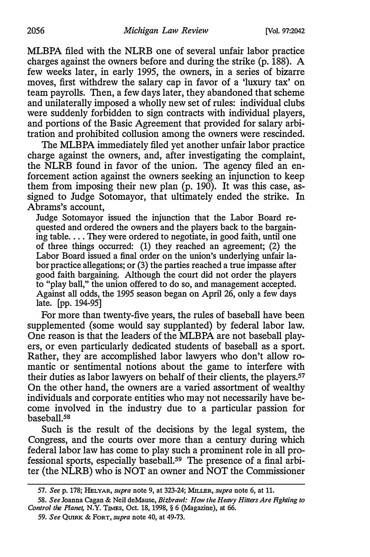MLBPA filed with the NLRB one of several unfair labor practice charges against the owners before and during the strike (p. 188). A few weeks later, in early 1995, the owners, in a series of bizarre moves, first withdrew the salary cap in favor of a 'luxury tax' on team payrolls. Then, a few days later, they abandoned that scheme and unilaterally imposed a wholly new set of rules: individual clubs were suddenly forbidden to sign contracts with individual players, and portions of the Basic Agreement that provided for salary arbitration and prohibited collusion among the owners were rescinded.

The MLBPA immediately filed yet another unfair labor practice charge against the owners, and, after investigating the complaint, the NLRB found in favor of the union. The agency filed an enforcement action against the owners seeking an injunction to keep them from imposing their new plan (p. 190). It was this case, assigned to Judge Sotomayor, that ultimately ended the strike. In Abrams's account,

Judge Sotomayor issued the injunction that the Labor Board requested and ordered the owners and the players back to the bargaining table.... They were ordered to negotiate, in good faith, until one of three things occurred: (1) they reached an agreement; (2) the Labor Board issued a final order on the union's underlying unfair labor practice allegations; or (3) the parties reached a true impasse after good faith bargaining. Although the court did not order the players to "play ball," the union offered to do so, and management accepted. Against all odds, the 1995 season began on April 26, only a few days late. [pp. 194-95]

For more than twenty-five years, the rules of baseball have been supplemented (some would say supplanted) by federal labor law. One reason is that the leaders of the MLBPA are not baseball players, or even particularly dedicated students of baseball as a sport. Rather, they are accomplished labor lawyers who don't allow romantic or sentimental notions about the game to interfere with their duties as labor lawyers on behalf of their clients, the players.57 On the other hand, the owners are a varied assortment of wealthy individuals and corporate entities who may not necessarily have become involved in the industry due to a particular passion for baseball.58

Such is the result of the decisions by the legal system, the Congress, and the courts over more than a century during which federal labor law has come to play such a prominent role in all professional sports, especially baseball.59 The presence of a final arbiter (the NLRB) who is NOT an owner and NOT the Commissioner

<sup>57.</sup> See p. 178; HELYAR, supra note 9, at 323-24; MILLER, supra note 6, at 11.

<sup>58.</sup> See Joanna Cagan & Neil deMause, Bizbrawl: How the Heavy Hitters Are Fighting to Control the Planet, N.Y. TIMES, Oct. 18, 1998, § 6 (Magazine), at 66.

<sup>59.</sup> See QUIRK & FORT, supra note 40, at 49-73.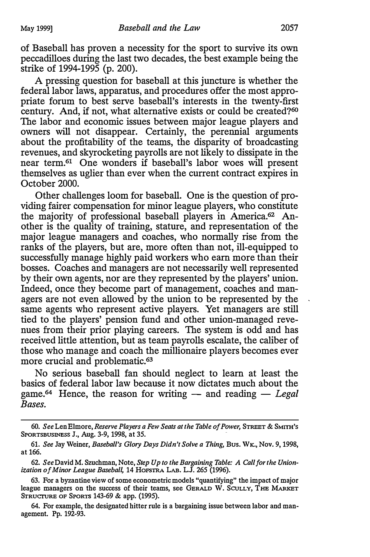of Baseball has proven a necessity for the sport to survive its own peccadilloes during the last two decades, the best example being the strike of 1994-1995 (p. 200).

A pressing question for baseball at this juncture is whether the federal labor laws, apparatus, and procedures offer the most appropriate forum to best serve baseball's interests in the twenty-first century. And, if not, what alternative exists or could be created?<sup>60</sup> The labor and economic issues between major league players and owners will not disappear. Certainly, the perennial arguments about the profitability of the teams, the disparity of broadcasting revenues, and skyrocketing payrolls are not likely to dissipate in the near term.61 One wonders if baseball's labor woes will present themselves as uglier than ever when the current contract expires in October 2000.

Other challenges loom for baseball. One is the question of providing fairer compensation for minor league players, who constitute the majority of professional baseball players in America.62 Another is the quality of training, stature, and representation of the major league managers and coaches, who normally rise from the ranks of the players, but are, more often than not, ill-equipped to successfully manage highly paid workers who earn more than their bosses. Coaches and managers are not necessarily well represented by their own agents, nor are they represented by the players' union. Indeed, once they become part of management, coaches and managers are not even allowed by the union to be represented by the same agents who represent active players. Yet managers are still tied to the players' pension fund and other union-managed revenues from their prior playing careers. The system is odd and has received little attention, but as team payrolls escalate, the caliber of those who manage and coach the millionaire players becomes ever more crucial and problematic.63

No serious baseball fan should neglect to learn at least the basics of federal labor law because it now dictates much about the game.<sup>64</sup> Hence, the reason for writing  $-$  and reading  $-$  Legal Bases.

64. For example, the designated hitter rule is a bargaining issue between labor and management. Pp. 192-93.

<sup>60.</sup> See Len Elmore, Reserve Players a Few Seats at the Table of Power, STREET & SMITH'S SPORTSBUSINESS J., Aug. 3-9, 1998, at 35.

<sup>61.</sup> See Jay Weiner, Baseball's Glory Days Didn't Solve a Thing, Bus. Wk., Nov. 9, 1998, at 166.

<sup>62.</sup> See David M. Szuchman, Note, Step Up to the Bargaining Table: A Call for the Unionization of Minor League Baseball, 14 HOFSTRA LAB. L.J. 265 (1996).

<sup>63.</sup> For a byzantine view of some econometric models "quantifying" the impact of major league managers on the success of their teams, see GERALD W. SCULLY, THE MARKET STRUCTURE OF SPORTS 143-69 & app. (1995).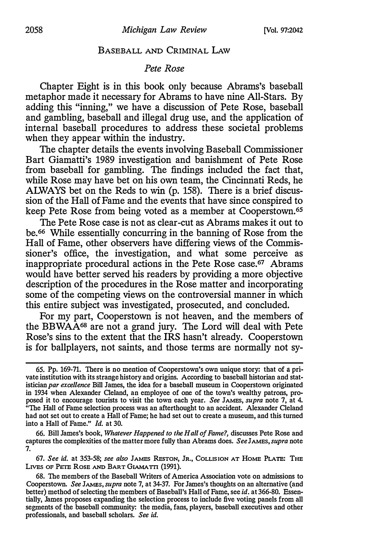#### BASEBALL AND CRIMINAL LAW

## Pete Rose

Chapter Eight is in this book only because Abrams's baseball metaphor made it necessary for Abrams to have nine All-Stars. By adding this "inning," we have a discussion of Pete Rose, baseball and gambling, baseball and illegal drug use, and the application of internal baseball procedures to address these societal problems when they appear within the industry.

The chapter details the events involving Baseball Commissioner Bart Giamatti's 1989 investigation and banishment of Pete Rose from baseball for gambling. The findings included the fact that, while Rose may have bet on his own team, the Cincinnati Reds, he ALWAYS bet on the Reds to win (p. 158). There is a brief discussion of the Hall of Fame and the events that have since conspired to keep Pete Rose from being voted as a member at Cooperstown.6s

The Pete Rose case is not as clear-cut as Abrams makes it out to be. 66 While essentially concurring in the banning of Rose from the Hall of Fame, other observers have differing views of the Commissioner's office, the investigation, and what some perceive as inappropriate procedural actions in the Pete Rose case.67 Abrams would have better served his readers by providing a more objective description of the procedures in the Rose matter and incorporating some of the competing views on the controversial manner in which this entire subject was investigated, prosecuted, and concluded.

For my part, Cooperstown is not heaven, and the members of the BBWAA68 are not a grand jury. The Lord will deal with Pete Rose's sins to the extent that the IRS hasn't already. Cooperstown is for ballplayers, not saints, and those terms are normally not sy-

66. Bill James's book, Whatever Happened to the Hall of Fame?, discusses Pete Rose and captures the complexities of the matter more fully than Abrams does. See JAMES, supra note 7.

67. See id. at 353-58; see also JAMES REsToN, JR., COLLISION AT HoME PLATE: THE LIVES OF PETE ROSE AND BART GIAMATTI (1991).

<sup>65.</sup> Pp. 169-71. There is no mention of Cooperstown's own unique story: that of a private institution with its strange history and origins. According to baseball historian and statistician par excellence Bill James, the idea for a baseball museum in Cooperstown originated in 1934 when Alexander Cleland, an employee of one of the town's wealthy patrons, proposed it to encourage tourists to visit the town each year. See JAMES, supra note 7, at 4.<br>"The Hall of Fame selection access with the town each year. See JAMES, supra note 7, at 4. " The Hall of Fame selection process was an afterthought to an accident. Alexander Cleland had not set out to create a Hall of Fame; he had set out to create a museum, and this turned into a Hall of Fame." Id. at 30.

<sup>68.</sup> The members of the Baseball Writers of America Association vote on admissions to Cooperstown. See JAMES, supra note 7, at 34-37. For James's thoughts on an alternative (and better) method of selecting the members of Baseball's Hall of Fame, see id. at 366-80. Essentially, James proposes expanding the selection process to include five voting panels from all segments of the baseball community: the media, fans, players, baseball executives and other professionals, and baseball scholars. See id.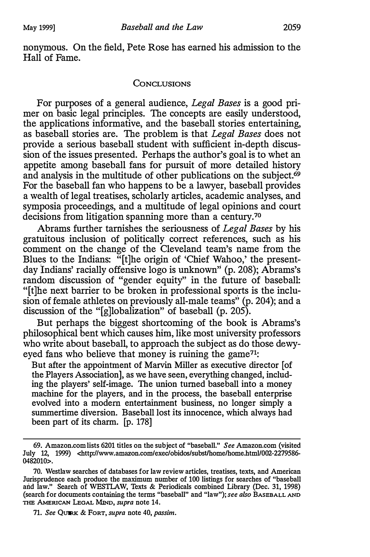nonymous. On the field, Pete Rose has earned his admission to the Hall of Fame.

#### CONCLUSIONS

For purposes of a general audience, Legal Bases is a good primer on basic legal principles. The concepts are easily understood, the applications informative, and the baseball stories entertaining, as baseball stories are. The problem is that Legal Bases does not provide a serious baseball student with sufficient in-depth discussion of the issues presented. Perhaps the author's goal is to whet an appetite among baseball fans for pursuit of more detailed history and analysis in the multitude of other publications on the subject. $\dot{69}$ For the baseball fan who happens to be a lawyer, baseball provides a wealth of legal treatises, scholarly articles, academic analyses, and symposia proceedings, and a multitude of legal opinions and court decisions from litigation spanning more than a century.<sup>70</sup>

Abrams further tarnishes the seriousness of Legal Bases by his gratuitous inclusion of politically correct references, such as his comment on the change of the Cleveland team's name from the Blues to the Indians: "[t]he origin of 'Chief Wahoo,' the presentday Indians' racially offensive logo is unknown" (p. 208); Abrams's random discussion of "gender equity" in the future of baseball: "[t]he next barrier to be broken in professional sports is the inclusion of female athletes on previously all-male teams" (p. 204); and a discussion of the "[g]lobalization" of baseball (p. 205).

But perhaps the biggest shortcoming of the book is Abrams's philosophical bent which causes him, like most university professors who write about baseball, to approach the subject as do those dewyeyed fans who believe that money is ruining the game<sup>71</sup>:

But after the appointment of Marvin Miller as executive director [of the Players Association], as we have seen, everything changed, including the players' self-image. The union turned baseball into a money machine for the players, and in the process, the baseball enterprise evolved into a modem entertainment business, no longer simply a summertime diversion. Baseball lost its innocence, which always had been part of its charm. [p. 178]

<sup>69.</sup> Amazon.com lists 6201 titles on the subject of "baseball." See Amazon.com (visited July 12, 1999) <http://www.amazon.com/exec/obidos/subsUhome/home.html/002-2279586- 0482010>.

<sup>70.</sup> Westlaw searches of databases for law review articles, treatises, texts, and American Jurisprudence each produce the maximum number of 100 listings for searches of "baseball and law." Search of WESTLAW, Texts & Periodicals combined Library (Dec. 31, 1998) (search for documents containing the terms "baseball" and "law"); see also BASEBALL AND THE AMERICAN LEGAL MIND, supra note 14.

<sup>71.</sup> See QUIRK & FORT, supra note 40, passim.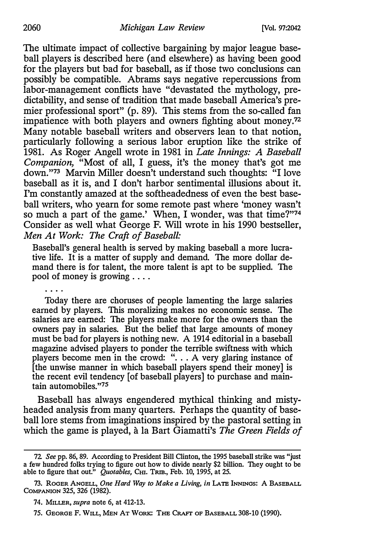#### 2060 Michigan Law Review [Vol. 97:2042

The ultimate impact of collective bargaining by major league baseball players is described here (and elsewhere) as having been good for the players but bad for baseball, as if those two conclusions can possibly be compatible. Abrams says negative repercussions from labor-management conflicts have "devastated the mythology, predictability, and sense of tradition that made baseball America's premier professional sport" (p. 89). This stems from the so-called fan impatience with both players and owners fighting about money.<sup>72</sup> Many notable baseball writers and observers lean to that notion, particularly following a serious labor eruption like the strike of 1981. As Roger Angell wrote in 1981 in Late Innings: A Baseball Companion, "Most of all, I guess, it's the money that's got me down."73 Marvin Miller doesn't understand such thoughts: "I love baseball as it is, and I don't harbor sentimental illusions about it. I'm constantly amazed at the softheadedness of even the best baseball writers, who yearn for some remote past where 'money wasn't so much a part of the game.' When, I wonder, was that time?"74 Consider as well what George F. Will wrote in his 1990 bestseller, Men At Work: The Craft of Baseball:

Baseball's general health is served by making baseball a more lucrative life. It is a matter of supply and demand. The more dollar demand there is for talent, the more talent is apt to be supplied. The pool of money is growing ....

Today there are choruses of people lamenting the large salaries earned by players. This moralizing makes no economic sense. The salaries are earned: The players make more for the owners than the owners pay in salaries. But the belief that large amounts of money must be bad for players is nothing new. A 1914 editorial in a baseball magazine advised players to ponder the terrible swiftness with which players become men in the crowd: " $\ldots$  A very glaring instance of [the unwise manner in which baseball players spend their money] is the recent evil tendency [of baseball players] to purchase and maintain automobiles."75

Baseball has always engendered mythical thinking and mistyheaded analysis from many quarters. Perhaps the quantity of baseball lore stems from imaginations inspired by the pastoral setting in which the game is played, à la Bart Giamatti's The Green Fields of

<sup>72.</sup> See pp. 86, 89. According to President Bill Clinton, the 1995 baseball strike was "just a few hundred folks trying to figure out how to divide nearly \$2 billion. They ought to be able to figure that out." Quotables, C<sub>HI</sub>. TRIB., Feb. 10, 1995, at 25.

<sup>73.</sup> ROGER ANGELL, One Hard Way to Make a Living, in LATE INNINGS: A BASEBALL COMPANION 325, 326 (1982).

<sup>74.</sup> MILLER, supra note 6, at 412-13.

<sup>75.</sup> GEORGE F. WILL, MEN AT WoRK: THE CR.AFT OF BASEBALL 308-10 (1990).